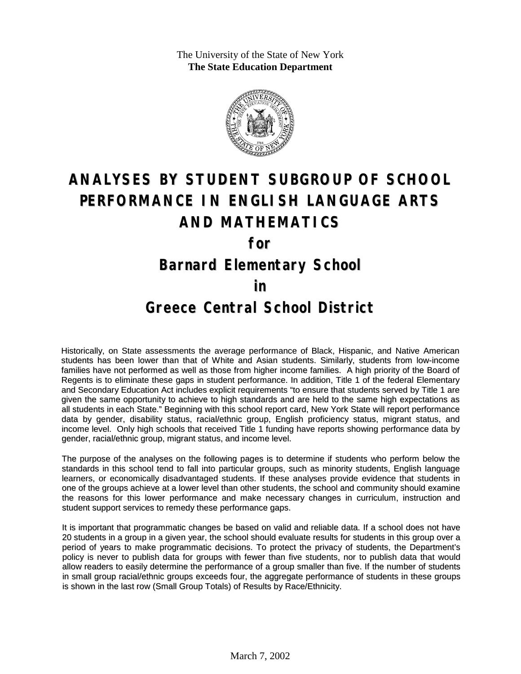The University of the State of New York **The State Education Department**



# **ANALYSES BY STUDENT SUBGROUP OF SCHOOL PERFORMANCE IN ENGLISH LANGUAGE ARTS AND MATHEMATICS**

**for**

### **Barnard Elementary School**

#### **in**

#### **Greece Central School District**

Historically, on State assessments the average performance of Black, Hispanic, and Native American students has been lower than that of White and Asian students. Similarly, students from low-income families have not performed as well as those from higher income families. A high priority of the Board of Regents is to eliminate these gaps in student performance. In addition, Title 1 of the federal Elementary and Secondary Education Act includes explicit requirements "to ensure that students served by Title 1 are given the same opportunity to achieve to high standards and are held to the same high expectations as all students in each State." Beginning with this school report card, New York State will report performance data by gender, disability status, racial/ethnic group, English proficiency status, migrant status, and income level. Only high schools that received Title 1 funding have reports showing performance data by gender, racial/ethnic group, migrant status, and income level.

The purpose of the analyses on the following pages is to determine if students who perform below the standards in this school tend to fall into particular groups, such as minority students, English language learners, or economically disadvantaged students. If these analyses provide evidence that students in one of the groups achieve at a lower level than other students, the school and community should examine the reasons for this lower performance and make necessary changes in curriculum, instruction and student support services to remedy these performance gaps.

It is important that programmatic changes be based on valid and reliable data. If a school does not have 20 students in a group in a given year, the school should evaluate results for students in this group over a period of years to make programmatic decisions. To protect the privacy of students, the Department's policy is never to publish data for groups with fewer than five students, nor to publish data that would allow readers to easily determine the performance of a group smaller than five. If the number of students in small group racial/ethnic groups exceeds four, the aggregate performance of students in these groups is shown in the last row (Small Group Totals) of Results by Race/Ethnicity.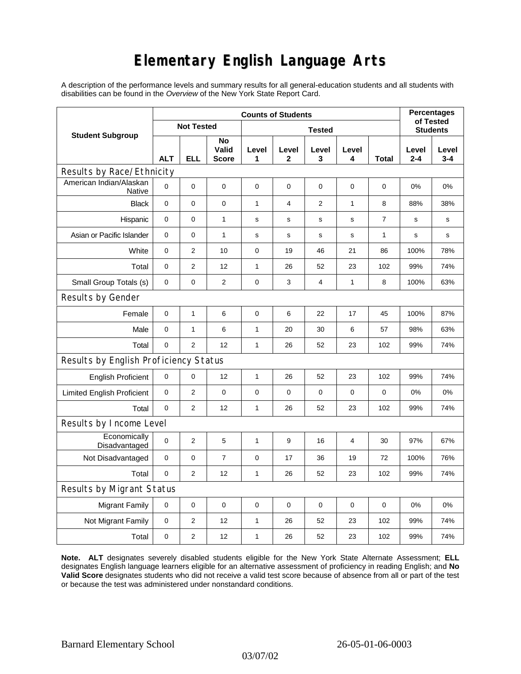## **Elementary English Language Arts**

A description of the performance levels and summary results for all general-education students and all students with disabilities can be found in the *Overview* of the New York State Report Card.

|                                          | <b>Counts of Students</b> |                |                      |               |             |                |                |             | <b>Percentages</b>           |                  |
|------------------------------------------|---------------------------|----------------|----------------------|---------------|-------------|----------------|----------------|-------------|------------------------------|------------------|
| <b>Student Subgroup</b>                  | <b>Not Tested</b>         |                |                      | <b>Tested</b> |             |                |                |             | of Tested<br><b>Students</b> |                  |
|                                          | <b>ALT</b>                | <b>ELL</b>     | No<br>Valid<br>Score | Level<br>1    | Level<br>2  | Level<br>3     | Level<br>4     | Total       | Level<br>$2 - 4$             | Level<br>$3 - 4$ |
| Results by Race/Ethnicity                |                           |                |                      |               |             |                |                |             |                              |                  |
| American Indian/Alaskan<br><b>Native</b> | $\Omega$                  | 0              | 0                    | $\mathbf 0$   | 0           | 0              | $\mathbf 0$    | 0           | 0%                           | 0%               |
| <b>Black</b>                             | 0                         | 0              | 0                    | 1             | 4           | 2              | 1              | 8           | 88%                          | 38%              |
| Hispanic                                 | 0                         | 0              | 1                    | $\mathbf s$   | s           | ${\tt S}$      | $\mathbf s$    | 7           | s                            | s                |
| Asian or Pacific Islander                | $\mathbf{0}$              | 0              | $\mathbf{1}$         | s             | $\mathbf s$ | S              | s              | 1           | S                            | s                |
| White                                    | 0                         | 2              | 10                   | $\mathbf 0$   | 19          | 46             | 21             | 86          | 100%                         | 78%              |
| Total                                    | 0                         | $\overline{2}$ | 12                   | 1             | 26          | 52             | 23             | 102         | 99%                          | 74%              |
| Small Group Totals (s)                   | 0                         | 0              | 2                    | $\mathbf 0$   | 3           | $\overline{4}$ | 1              | 8           | 100%                         | 63%              |
| Results by Gender                        |                           |                |                      |               |             |                |                |             |                              |                  |
| Female                                   | 0                         | $\mathbf{1}$   | 6                    | $\mathbf 0$   | 6           | 22             | 17             | 45          | 100%                         | 87%              |
| Male                                     | 0                         | 1              | 6                    | $\mathbf{1}$  | 20          | 30             | 6              | 57          | 98%                          | 63%              |
| Total                                    | 0                         | $\overline{2}$ | 12                   | $\mathbf{1}$  | 26          | 52             | 23             | 102         | 99%                          | 74%              |
| Results by English Proficiency Status    |                           |                |                      |               |             |                |                |             |                              |                  |
| <b>English Proficient</b>                | 0                         | 0              | 12                   | 1             | 26          | 52             | 23             | 102         | 99%                          | 74%              |
| <b>Limited English Proficient</b>        | $\pmb{0}$                 | $\overline{2}$ | $\pmb{0}$            | $\mathbf 0$   | $\mathbf 0$ | 0              | $\mathbf 0$    | 0           | 0%                           | 0%               |
| Total                                    | $\mathbf 0$               | $\overline{2}$ | 12                   | $\mathbf{1}$  | 26          | 52             | 23             | 102         | 99%                          | 74%              |
| Results by Income Level                  |                           |                |                      |               |             |                |                |             |                              |                  |
| Economically<br>Disadvantaged            | $\mathbf 0$               | 2              | 5                    | $\mathbf{1}$  | 9           | 16             | $\overline{4}$ | 30          | 97%                          | 67%              |
| Not Disadvantaged                        | $\mathbf 0$               | 0              | $\overline{7}$       | $\mathbf 0$   | 17          | 36             | 19             | 72          | 100%                         | 76%              |
| Total                                    | $\mathbf 0$               | $\overline{2}$ | 12                   | $\mathbf{1}$  | 26          | 52             | 23             | 102         | 99%                          | 74%              |
| <b>Results by Migrant Status</b>         |                           |                |                      |               |             |                |                |             |                              |                  |
| <b>Migrant Family</b>                    | 0                         | 0              | 0                    | $\mathbf 0$   | $\mathbf 0$ | $\mathbf 0$    | $\mathbf 0$    | $\mathbf 0$ | 0%                           | 0%               |
| Not Migrant Family                       | 0                         | $\overline{2}$ | 12                   | $\mathbf{1}$  | 26          | 52             | 23             | 102         | 99%                          | 74%              |
| Total                                    | 0                         | 2              | 12                   | 1             | 26          | 52             | 23             | 102         | 99%                          | 74%              |

**Note. ALT** designates severely disabled students eligible for the New York State Alternate Assessment; **ELL** designates English language learners eligible for an alternative assessment of proficiency in reading English; and **No Valid Score** designates students who did not receive a valid test score because of absence from all or part of the test or because the test was administered under nonstandard conditions.